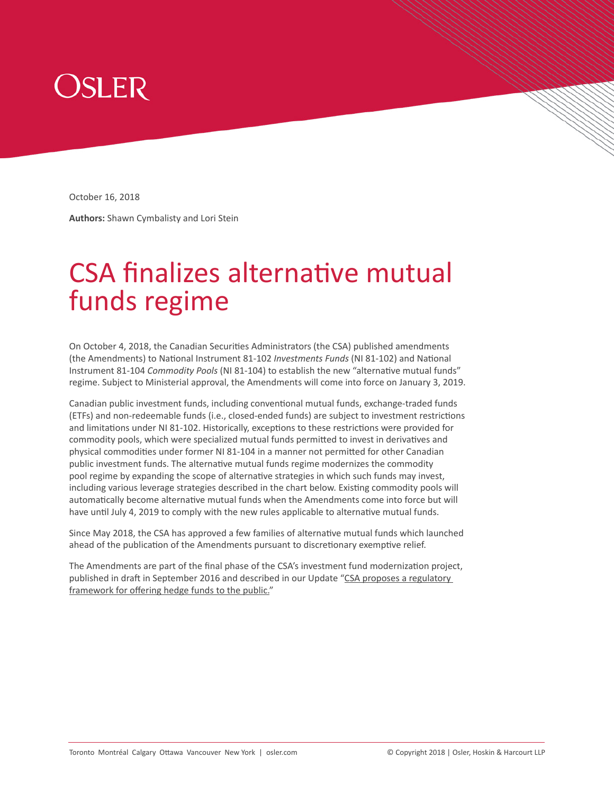

October 16, 2018

**Authors:** Shawn Cymbalisty and Lori Stein

# CSA finalizes alternative mutual funds regime

On October 4, 2018, the Canadian Securities Administrators (the CSA) published amendments (the Amendments) to National Instrument 81-102 *Investments Funds* (NI 81-102) and National Instrument 81-104 *Commodity Pools* (NI 81-104) to establish the new "alternative mutual funds" regime. Subject to Ministerial approval, the Amendments will come into force on January 3, 2019.

Canadian public investment funds, including conventional mutual funds, exchange-traded funds (ETFs) and non-redeemable funds (i.e., closed-ended funds) are subject to investment restrictions and limitations under NI 81-102. Historically, exceptions to these restrictions were provided for commodity pools, which were specialized mutual funds permitted to invest in derivatives and physical commodities under former NI 81-104 in a manner not permitted for other Canadian public investment funds. The alternative mutual funds regime modernizes the commodity pool regime by expanding the scope of alternative strategies in which such funds may invest, including various leverage strategies described in the chart below. Existing commodity pools will automatically become alternative mutual funds when the Amendments come into force but will have until July 4, 2019 to comply with the new rules applicable to alternative mutual funds.

Since May 2018, the CSA has approved a few families of alternative mutual funds which launched ahead of the publication of the Amendments pursuant to discretionary exemptive relief.

The Amendments are part of the final phase of the CSA's investment fund modernization project, published in draft in September 2016 and described in our Update "CSA proposes a regulatory [framework for offering hedge funds to the public."](https://www.osler.com/en/resources/regulations/2016/canadian-securities-administrators-propose-a-regul)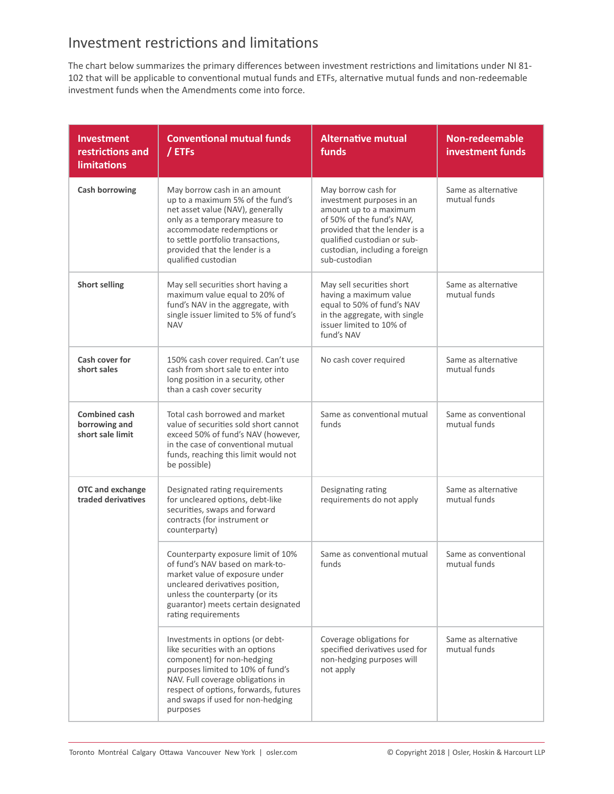#### Investment restrictions and limitations

The chart below summarizes the primary differences between investment restrictions and limitations under NI 81- 102 that will be applicable to conventional mutual funds and ETFs, alternative mutual funds and non-redeemable investment funds when the Amendments come into force.

| <b>Investment</b><br>restrictions and<br><b>limitations</b> | <b>Conventional mutual funds</b><br>/ ETFs                                                                                                                                                                                                                            | <b>Alternative mutual</b><br>funds                                                                                                                                                                                         | <b>Non-redeemable</b><br>investment funds |
|-------------------------------------------------------------|-----------------------------------------------------------------------------------------------------------------------------------------------------------------------------------------------------------------------------------------------------------------------|----------------------------------------------------------------------------------------------------------------------------------------------------------------------------------------------------------------------------|-------------------------------------------|
| <b>Cash borrowing</b>                                       | May borrow cash in an amount<br>up to a maximum 5% of the fund's<br>net asset value (NAV), generally<br>only as a temporary measure to<br>accommodate redemptions or<br>to settle portfolio transactions,<br>provided that the lender is a<br>qualified custodian     | May borrow cash for<br>investment purposes in an<br>amount up to a maximum<br>of 50% of the fund's NAV,<br>provided that the lender is a<br>qualified custodian or sub-<br>custodian, including a foreign<br>sub-custodian | Same as alternative<br>mutual funds       |
| <b>Short selling</b>                                        | May sell securities short having a<br>maximum value equal to 20% of<br>fund's NAV in the aggregate, with<br>single issuer limited to 5% of fund's<br><b>NAV</b>                                                                                                       | May sell securities short<br>having a maximum value<br>equal to 50% of fund's NAV<br>in the aggregate, with single<br>issuer limited to 10% of<br>fund's NAV                                                               | Same as alternative<br>mutual funds       |
| Cash cover for<br>short sales                               | 150% cash cover required. Can't use<br>cash from short sale to enter into<br>long position in a security, other<br>than a cash cover security                                                                                                                         | No cash cover required                                                                                                                                                                                                     | Same as alternative<br>mutual funds       |
| Combined cash<br>borrowing and<br>short sale limit          | Total cash borrowed and market<br>value of securities sold short cannot<br>exceed 50% of fund's NAV (however,<br>in the case of conventional mutual<br>funds, reaching this limit would not<br>be possible)                                                           | Same as conventional mutual<br>funds                                                                                                                                                                                       | Same as conventional<br>mutual funds      |
| <b>OTC</b> and exchange<br>traded derivatives               | Designated rating requirements<br>for uncleared options, debt-like<br>securities, swaps and forward<br>contracts (for instrument or<br>counterparty)                                                                                                                  | Designating rating<br>requirements do not apply                                                                                                                                                                            | Same as alternative<br>mutual funds       |
|                                                             | Counterparty exposure limit of 10%<br>of fund's NAV based on mark-to-<br>market value of exposure under<br>uncleared derivatives position,<br>unless the counterparty (or its<br>guarantor) meets certain designated<br>rating requirements                           | Same as conventional mutual<br>funds                                                                                                                                                                                       | Same as conventional<br>mutual funds      |
|                                                             | Investments in options (or debt-<br>like securities with an options<br>component) for non-hedging<br>purposes limited to 10% of fund's<br>NAV. Full coverage obligations in<br>respect of options, forwards, futures<br>and swaps if used for non-hedging<br>purposes | Coverage obligations for<br>specified derivatives used for<br>non-hedging purposes will<br>not apply                                                                                                                       | Same as alternative<br>mutual funds       |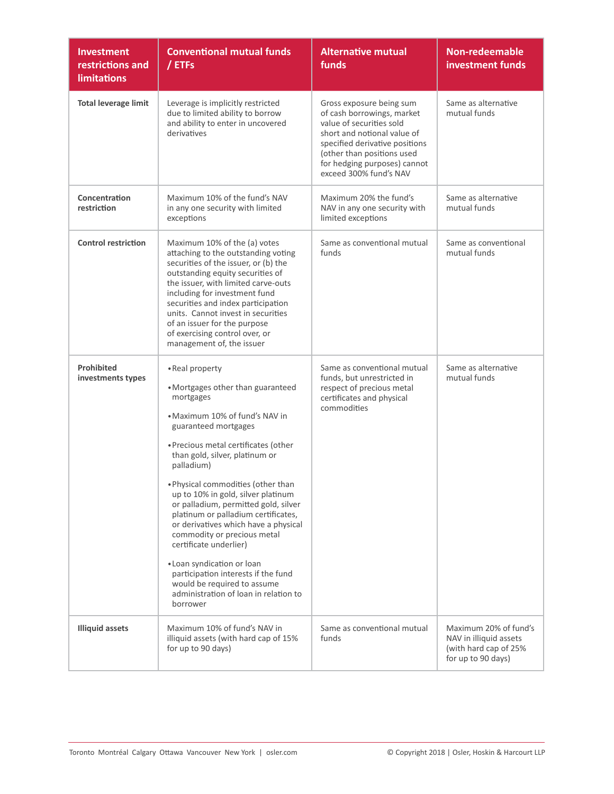| <b>Investment</b><br>restrictions and<br><b>limitations</b> | <b>Conventional mutual funds</b><br>/ ETFs                                                                                                                                                                                                                                                                                                                                                                                                                                                                                                                                                                                               | <b>Alternative mutual</b><br>funds                                                                                                                                                                                                          | <b>Non-redeemable</b><br>investment funds                                                      |
|-------------------------------------------------------------|------------------------------------------------------------------------------------------------------------------------------------------------------------------------------------------------------------------------------------------------------------------------------------------------------------------------------------------------------------------------------------------------------------------------------------------------------------------------------------------------------------------------------------------------------------------------------------------------------------------------------------------|---------------------------------------------------------------------------------------------------------------------------------------------------------------------------------------------------------------------------------------------|------------------------------------------------------------------------------------------------|
| <b>Total leverage limit</b>                                 | Leverage is implicitly restricted<br>due to limited ability to borrow<br>and ability to enter in uncovered<br>derivatives                                                                                                                                                                                                                                                                                                                                                                                                                                                                                                                | Gross exposure being sum<br>of cash borrowings, market<br>value of securities sold<br>short and notional value of<br>specified derivative positions<br>(other than positions used<br>for hedging purposes) cannot<br>exceed 300% fund's NAV | Same as alternative<br>mutual funds                                                            |
| Concentration<br>restriction                                | Maximum 10% of the fund's NAV<br>in any one security with limited<br>exceptions                                                                                                                                                                                                                                                                                                                                                                                                                                                                                                                                                          | Maximum 20% the fund's<br>NAV in any one security with<br>limited exceptions                                                                                                                                                                | Same as alternative<br>mutual funds                                                            |
| <b>Control restriction</b>                                  | Maximum 10% of the (a) votes<br>attaching to the outstanding voting<br>securities of the issuer, or (b) the<br>outstanding equity securities of<br>the issuer, with limited carve-outs<br>including for investment fund<br>securities and index participation<br>units. Cannot invest in securities<br>of an issuer for the purpose<br>of exercising control over, or<br>management of, the issuer                                                                                                                                                                                                                                       | Same as conventional mutual<br>funds                                                                                                                                                                                                        | Same as conventional<br>mutual funds                                                           |
| <b>Prohibited</b><br>investments types                      | • Real property<br>• Mortgages other than guaranteed<br>mortgages<br>• Maximum 10% of fund's NAV in<br>guaranteed mortgages<br>• Precious metal certificates (other<br>than gold, silver, platinum or<br>palladium)<br>. Physical commodities (other than<br>up to 10% in gold, silver platinum<br>or palladium, permitted gold, silver<br>platinum or palladium certificates,<br>or derivatives which have a physical<br>commodity or precious metal<br>certificate underlier)<br>• Loan syndication or loan<br>participation interests if the fund<br>would be required to assume<br>administration of loan in relation to<br>borrower | Same as conventional mutual<br>funds, but unrestricted in<br>respect of precious metal<br>certificates and physical<br>commodities                                                                                                          | Same as alternative<br>mutual funds                                                            |
| <b>Illiquid assets</b>                                      | Maximum 10% of fund's NAV in<br>illiquid assets (with hard cap of 15%<br>for up to 90 days)                                                                                                                                                                                                                                                                                                                                                                                                                                                                                                                                              | Same as conventional mutual<br>funds                                                                                                                                                                                                        | Maximum 20% of fund's<br>NAV in illiquid assets<br>(with hard cap of 25%<br>for up to 90 days) |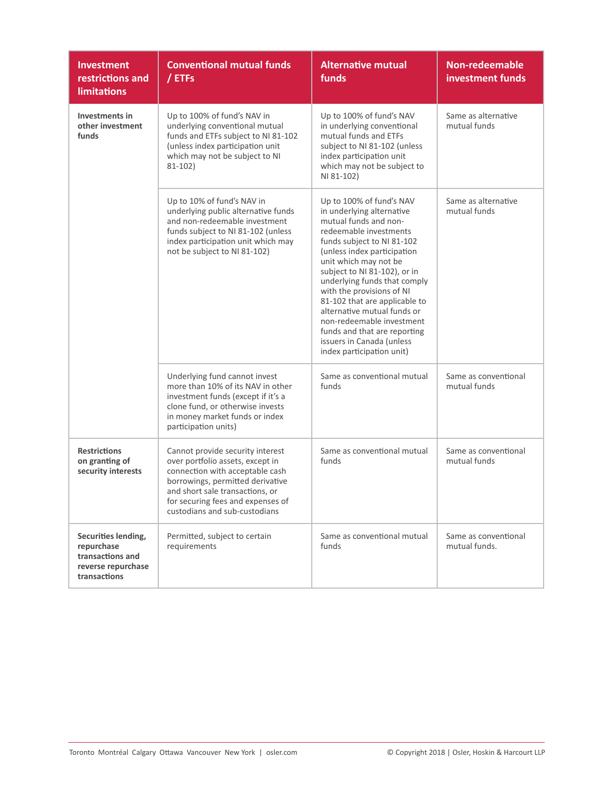| <b>Investment</b><br>restrictions and<br><b>limitations</b>                                 | <b>Conventional mutual funds</b><br>/ ETFs                                                                                                                                                                                                           | <b>Alternative mutual</b><br>funds                                                                                                                                                                                                                                                                                                                                                                                                                                                 | <b>Non-redeemable</b><br>investment funds |
|---------------------------------------------------------------------------------------------|------------------------------------------------------------------------------------------------------------------------------------------------------------------------------------------------------------------------------------------------------|------------------------------------------------------------------------------------------------------------------------------------------------------------------------------------------------------------------------------------------------------------------------------------------------------------------------------------------------------------------------------------------------------------------------------------------------------------------------------------|-------------------------------------------|
| Investments in<br>other investment<br>funds                                                 | Up to 100% of fund's NAV in<br>underlying conventional mutual<br>funds and ETFs subject to NI 81-102<br>(unless index participation unit<br>which may not be subject to NI<br>$81 - 102$                                                             | Up to 100% of fund's NAV<br>in underlying conventional<br>mutual funds and ETFs<br>subject to NI 81-102 (unless<br>index participation unit<br>which may not be subject to<br>NI 81-102)                                                                                                                                                                                                                                                                                           | Same as alternative<br>mutual funds       |
|                                                                                             | Up to 10% of fund's NAV in<br>underlying public alternative funds<br>and non-redeemable investment<br>funds subject to NI 81-102 (unless<br>index participation unit which may<br>not be subject to NI 81-102)                                       | Up to 100% of fund's NAV<br>in underlying alternative<br>mutual funds and non-<br>redeemable investments<br>funds subject to NI 81-102<br>(unless index participation<br>unit which may not be<br>subject to NI 81-102), or in<br>underlying funds that comply<br>with the provisions of NI<br>81-102 that are applicable to<br>alternative mutual funds or<br>non-redeemable investment<br>funds and that are reporting<br>issuers in Canada (unless<br>index participation unit) | Same as alternative<br>mutual funds       |
|                                                                                             | Underlying fund cannot invest<br>more than 10% of its NAV in other<br>investment funds (except if it's a<br>clone fund, or otherwise invests<br>in money market funds or index<br>participation units)                                               | Same as conventional mutual<br>funds                                                                                                                                                                                                                                                                                                                                                                                                                                               | Same as conventional<br>mutual funds      |
| <b>Restrictions</b><br>on granting of<br>security interests                                 | Cannot provide security interest<br>over portfolio assets, except in<br>connection with acceptable cash<br>borrowings, permitted derivative<br>and short sale transactions, or<br>for securing fees and expenses of<br>custodians and sub-custodians | Same as conventional mutual<br>funds                                                                                                                                                                                                                                                                                                                                                                                                                                               | Same as conventional<br>mutual funds      |
| Securities lending,<br>repurchase<br>transactions and<br>reverse repurchase<br>transactions | Permitted, subject to certain<br>requirements                                                                                                                                                                                                        | Same as conventional mutual<br>funds                                                                                                                                                                                                                                                                                                                                                                                                                                               | Same as conventional<br>mutual funds.     |